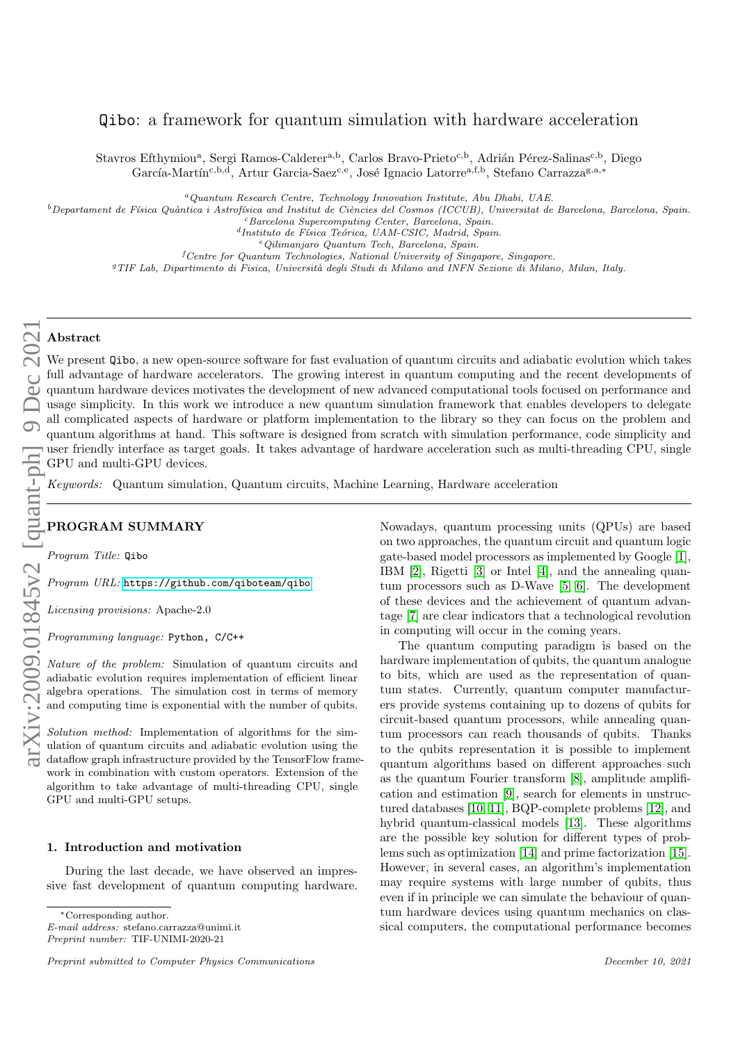# Qibo: a framework for quantum simulation with hardware acceleration

Stavros Efthymiou<sup>a</sup>, Sergi Ramos-Calderer<sup>a,b</sup>, Carlos Bravo-Prieto<sup>c,b</sup>, Adrián Pérez-Salinas<sup>c,b</sup>, Diego García-Martín<sup>c,b,d</sup>, Artur Garcia-Saez<sup>c,e</sup>, José Ignacio Latorre<sup>a,f,b</sup>, Stefano Carrazza<sup>g,a,\*</sup>

<sup>a</sup>Quantum Research Centre, Technology Innovation Institute, Abu Dhabi, UAE.

 $^b$ Departament de Física Quàntica i Astrofísica and Institut de Ciències del Cosmos (ICCUB), Universitat de Barcelona, Barcelona, Spain.

<sup>c</sup>Barcelona Supercomputing Center, Barcelona, Spain.

<sup>d</sup>Instituto de Física Teórica, UAM-CSIC, Madrid, Spain.

<sup>e</sup>Qilimanjaro Quantum Tech, Barcelona, Spain.

 ${}^f$ Centre for Quantum Technologies, National University of Singapore, Singapore.

<sup>g</sup>TIF Lab, Dipartimento di Fisica, Università degli Studi di Milano and INFN Sezione di Milano, Milan, Italy.

### Abstract

We present  $Q$ ibo, a new open-source software for fast evaluation of quantum circuits and adiabatic evolution which takes full advantage of hardware accelerators. The growing interest in quantum computing and the recent developments of quantum hardware devices motivates the development of new advanced computational tools focused on performance and usage simplicity. In this work we introduce a new quantum simulation framework that enables developers to delegate all complicated aspects of hardware or platform implementation to the library so they can focus on the problem and quantum algorithms at hand. This software is designed from scratch with simulation performance, code simplicity and user friendly interface as target goals. It takes advantage of hardware acceleration such as multi-threading CPU, single GPU and multi-GPU devices.

Keywords: Quantum simulation, Quantum circuits, Machine Learning, Hardware acceleration

### PROGRAM SUMMARY

Program Title: Qibo

Program URL: <https://github.com/qiboteam/qibo>

Licensing provisions: Apache-2.0

Programming language: Python, C/C++

Nature of the problem: Simulation of quantum circuits and adiabatic evolution requires implementation of efficient linear algebra operations. The simulation cost in terms of memory and computing time is exponential with the number of qubits.

Solution method: Implementation of algorithms for the simulation of quantum circuits and adiabatic evolution using the dataflow graph infrastructure provided by the TensorFlow framework in combination with custom operators. Extension of the algorithm to take advantage of multi-threading CPU, single GPU and multi-GPU setups.

#### 1. Introduction and motivation

During the last decade, we have observed an impressive fast development of quantum computing hardware.

<sup>∗</sup>Corresponding author.

E-mail address: stefano.carrazza@unimi.it Preprint number: TIF-UNIMI-2020-21

Nowadays, quantum processing units (QPUs) are based on two approaches, the quantum circuit and quantum logic gate-based model processors as implemented by Google [\[1\]](#page-13-0), IBM [\[2\]](#page-13-1), Rigetti [\[3\]](#page-13-2) or Intel [\[4\]](#page-13-3), and the annealing quantum processors such as D-Wave [\[5,](#page-13-4) [6\]](#page-13-5). The development of these devices and the achievement of quantum advantage [\[7\]](#page-13-6) are clear indicators that a technological revolution in computing will occur in the coming years.

The quantum computing paradigm is based on the hardware implementation of qubits, the quantum analogue to bits, which are used as the representation of quantum states. Currently, quantum computer manufacturers provide systems containing up to dozens of qubits for circuit-based quantum processors, while annealing quantum processors can reach thousands of qubits. Thanks to the qubits representation it is possible to implement quantum algorithms based on different approaches such as the quantum Fourier transform [\[8\]](#page-13-7), amplitude amplification and estimation [\[9\]](#page-13-8), search for elements in unstructured databases [\[10,](#page-13-9) [11\]](#page-13-10), BQP-complete problems [\[12\]](#page-13-11), and hybrid quantum-classical models [\[13\]](#page-13-12). These algorithms are the possible key solution for different types of problems such as optimization [\[14\]](#page-13-13) and prime factorization [\[15\]](#page-13-14). However, in several cases, an algorithm's implementation may require systems with large number of qubits, thus even if in principle we can simulate the behaviour of quantum hardware devices using quantum mechanics on classical computers, the computational performance becomes

Preprint submitted to Computer Physics Communications December 10, 2021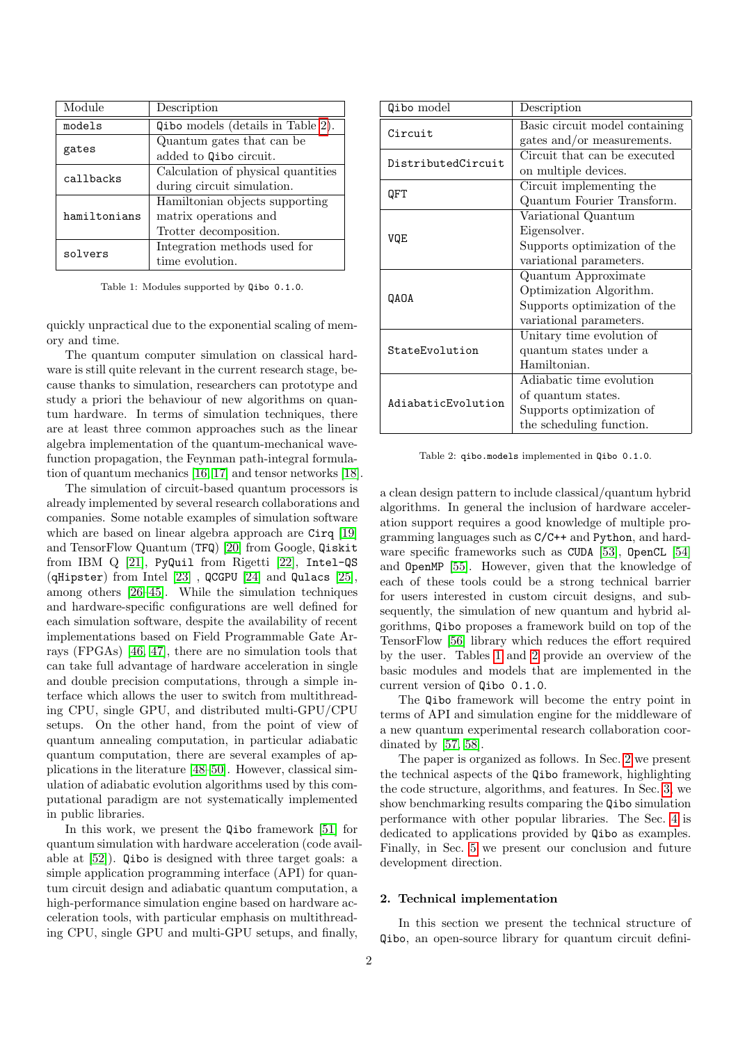| Module       | Description                        |
|--------------|------------------------------------|
| models       | Qibo models (details in Table 2).  |
| gates        | Quantum gates that can be          |
|              | added to Qibo circuit.             |
| callbacks    | Calculation of physical quantities |
|              | during circuit simulation.         |
|              | Hamiltonian objects supporting     |
| hamiltonians | matrix operations and              |
|              | Trotter decomposition.             |
| solvers      | Integration methods used for       |
|              | time evolution.                    |

Table 1: Modules supported by Qibo 0.1.0.

quickly unpractical due to the exponential scaling of memory and time.

The quantum computer simulation on classical hardware is still quite relevant in the current research stage, because thanks to simulation, researchers can prototype and study a priori the behaviour of new algorithms on quantum hardware. In terms of simulation techniques, there are at least three common approaches such as the linear algebra implementation of the quantum-mechanical wavefunction propagation, the Feynman path-integral formulation of quantum mechanics [\[16,](#page-13-15) [17\]](#page-13-16) and tensor networks [\[18\]](#page-13-17).

The simulation of circuit-based quantum processors is already implemented by several research collaborations and companies. Some notable examples of simulation software which are based on linear algebra approach are Cirq [\[19\]](#page-13-18) and TensorFlow Quantum (TFQ) [\[20\]](#page-13-19) from Google, Qiskit from IBM Q [\[21\]](#page-13-20), PyQuil from Rigetti [\[22\]](#page-13-21), Intel-QS (qHipster) from Intel [\[23\]](#page-13-22) , QCGPU [\[24\]](#page-13-23) and Qulacs [\[25\]](#page-13-24), among others [\[26](#page-13-25)[–45\]](#page-14-0). While the simulation techniques and hardware-specific configurations are well defined for each simulation software, despite the availability of recent implementations based on Field Programmable Gate Arrays (FPGAs) [\[46,](#page-14-1) [47\]](#page-14-2), there are no simulation tools that can take full advantage of hardware acceleration in single and double precision computations, through a simple interface which allows the user to switch from multithreading CPU, single GPU, and distributed multi-GPU/CPU setups. On the other hand, from the point of view of quantum annealing computation, in particular adiabatic quantum computation, there are several examples of applications in the literature [\[48](#page-14-3)[–50\]](#page-14-4). However, classical simulation of adiabatic evolution algorithms used by this computational paradigm are not systematically implemented in public libraries.

In this work, we present the Qibo framework [\[51\]](#page-14-5) for quantum simulation with hardware acceleration (code available at [\[52\]](#page-14-6)). Qibo is designed with three target goals: a simple application programming interface (API) for quantum circuit design and adiabatic quantum computation, a high-performance simulation engine based on hardware acceleration tools, with particular emphasis on multithreading CPU, single GPU and multi-GPU setups, and finally,

<span id="page-1-1"></span>

| Qibo model         | Description                    |  |  |
|--------------------|--------------------------------|--|--|
| Circuit            | Basic circuit model containing |  |  |
|                    | gates and/or measurements.     |  |  |
| DistributedCircuit | Circuit that can be executed   |  |  |
|                    | on multiple devices.           |  |  |
| QFT                | Circuit implementing the       |  |  |
|                    | Quantum Fourier Transform.     |  |  |
|                    | Variational Quantum            |  |  |
| VQE                | Eigensolver.                   |  |  |
|                    | Supports optimization of the   |  |  |
|                    | variational parameters.        |  |  |
|                    | Quantum Approximate            |  |  |
| QAOA               | Optimization Algorithm.        |  |  |
|                    | Supports optimization of the   |  |  |
|                    | variational parameters.        |  |  |
|                    | Unitary time evolution of      |  |  |
| StateEvolution     | quantum states under a         |  |  |
|                    | Hamiltonian.                   |  |  |
|                    | Adiabatic time evolution       |  |  |
| AdiabaticEvolution | of quantum states.             |  |  |
|                    | Supports optimization of       |  |  |
|                    | the scheduling function.       |  |  |

<span id="page-1-0"></span>Table 2: qibo.models implemented in Qibo 0.1.0.

a clean design pattern to include classical/quantum hybrid algorithms. In general the inclusion of hardware acceleration support requires a good knowledge of multiple programming languages such as C/C++ and Python, and hard-ware specific frameworks such as CUDA [\[53\]](#page-14-7), OpenCL [\[54\]](#page-14-8) and OpenMP [\[55\]](#page-14-9). However, given that the knowledge of each of these tools could be a strong technical barrier for users interested in custom circuit designs, and subsequently, the simulation of new quantum and hybrid algorithms, Qibo proposes a framework build on top of the TensorFlow [\[56\]](#page-14-10) library which reduces the effort required by the user. Tables [1](#page-1-1) and [2](#page-1-0) provide an overview of the basic modules and models that are implemented in the current version of Qibo 0.1.0.

The Qibo framework will become the entry point in terms of API and simulation engine for the middleware of a new quantum experimental research collaboration coordinated by [\[57,](#page-14-11) [58\]](#page-14-12).

The paper is organized as follows. In Sec. [2](#page-1-2) we present the technical aspects of the Qibo framework, highlighting the code structure, algorithms, and features. In Sec. [3,](#page-5-0) we show benchmarking results comparing the Qibo simulation performance with other popular libraries. The Sec. [4](#page-9-0) is dedicated to applications provided by Qibo as examples. Finally, in Sec. [5](#page-12-0) we present our conclusion and future development direction.

# <span id="page-1-2"></span>2. Technical implementation

In this section we present the technical structure of Qibo, an open-source library for quantum circuit defini-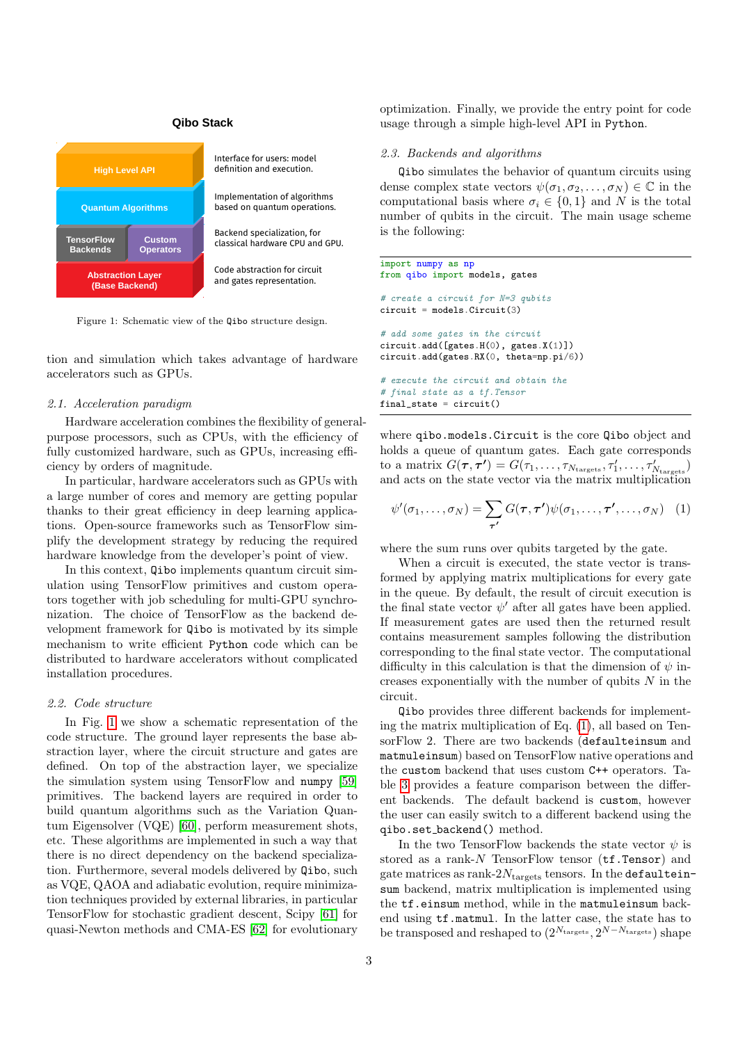# **Qibo Stack**



Figure 1: Schematic view of the Qibo structure design.

tion and simulation which takes advantage of hardware accelerators such as GPUs.

### 2.1. Acceleration paradigm

Hardware acceleration combines the flexibility of generalpurpose processors, such as CPUs, with the efficiency of fully customized hardware, such as GPUs, increasing efficiency by orders of magnitude.

In particular, hardware accelerators such as GPUs with a large number of cores and memory are getting popular thanks to their great efficiency in deep learning applications. Open-source frameworks such as TensorFlow simplify the development strategy by reducing the required hardware knowledge from the developer's point of view.

In this context, Qibo implements quantum circuit simulation using TensorFlow primitives and custom operators together with job scheduling for multi-GPU synchronization. The choice of TensorFlow as the backend development framework for Qibo is motivated by its simple mechanism to write efficient Python code which can be distributed to hardware accelerators without complicated installation procedures.

### 2.2. Code structure

In Fig. [1](#page-2-0) we show a schematic representation of the code structure. The ground layer represents the base abstraction layer, where the circuit structure and gates are defined. On top of the abstraction layer, we specialize the simulation system using TensorFlow and numpy [\[59\]](#page-14-13) primitives. The backend layers are required in order to build quantum algorithms such as the Variation Quantum Eigensolver (VQE) [\[60\]](#page-14-14), perform measurement shots, etc. These algorithms are implemented in such a way that there is no direct dependency on the backend specialization. Furthermore, several models delivered by Qibo, such as VQE, QAOA and adiabatic evolution, require minimization techniques provided by external libraries, in particular TensorFlow for stochastic gradient descent, Scipy [\[61\]](#page-14-15) for quasi-Newton methods and CMA-ES [\[62\]](#page-14-16) for evolutionary

optimization. Finally, we provide the entry point for code usage through a simple high-level API in Python.

#### 2.3. Backends and algorithms

Qibo simulates the behavior of quantum circuits using dense complex state vectors  $\psi(\sigma_1, \sigma_2, \ldots, \sigma_N) \in \mathbb{C}$  in the computational basis where  $\sigma_i \in \{0,1\}$  and N is the total number of qubits in the circuit. The main usage scheme is the following:

```
import numpy as np
from qibo import models, gates
# create a circuit for N=3 qubits
circuit = models.Circuit(3)
# add some gates in the circuit
circuit.add([gates.H(0), gates.X(1)])
circuit.add(gates.RX(0, theta=np.pi/6))
# execute the circuit and obtain the
# final state as a tf.Tensor
final_state = circuit()
```
where qibo.models.Circuit is the core Qibo object and holds a queue of quantum gates. Each gate corresponds to a matrix  $G(\tau, \tau') = G(\tau_1, \ldots, \tau_{N_{\text{targets}}}, \tau'_1, \ldots, \tau'_{N_{\text{targets}}})$ and acts on the state vector via the matrix multiplication

<span id="page-2-1"></span>
$$
\psi'(\sigma_1,\ldots,\sigma_N)=\sum_{\boldsymbol{\tau'}}G(\boldsymbol{\tau},\boldsymbol{\tau'})\psi(\sigma_1,\ldots,\boldsymbol{\tau'},\ldots,\sigma_N) \quad (1)
$$

where the sum runs over qubits targeted by the gate.

When a circuit is executed, the state vector is transformed by applying matrix multiplications for every gate in the queue. By default, the result of circuit execution is the final state vector  $\psi'$  after all gates have been applied. If measurement gates are used then the returned result contains measurement samples following the distribution corresponding to the final state vector. The computational difficulty in this calculation is that the dimension of  $\psi$  increases exponentially with the number of qubits  $N$  in the circuit.

Qibo provides three different backends for implementing the matrix multiplication of Eq. [\(1\)](#page-2-1), all based on TensorFlow 2. There are two backends (defaulteinsum and matmuleinsum) based on TensorFlow native operations and the custom backend that uses custom C++ operators. Table [3](#page-3-0) provides a feature comparison between the different backends. The default backend is custom, however the user can easily switch to a different backend using the qibo.set backend() method.

In the two TensorFlow backends the state vector  $\psi$  is stored as a rank- $N$  TensorFlow tensor ( $tf.Fensor$ ) and gate matrices as rank- $2N<sub>trarepsilon</sub>$  tensors. In the defaulteinsum backend, matrix multiplication is implemented using the  $tf.$ einsum method, while in the matmuleinsum backend using tf.matmul. In the latter case, the state has to be transposed and reshaped to  $(2^{N_{\text{targets}}}, 2^{N-N_{\text{targets}}})$  shape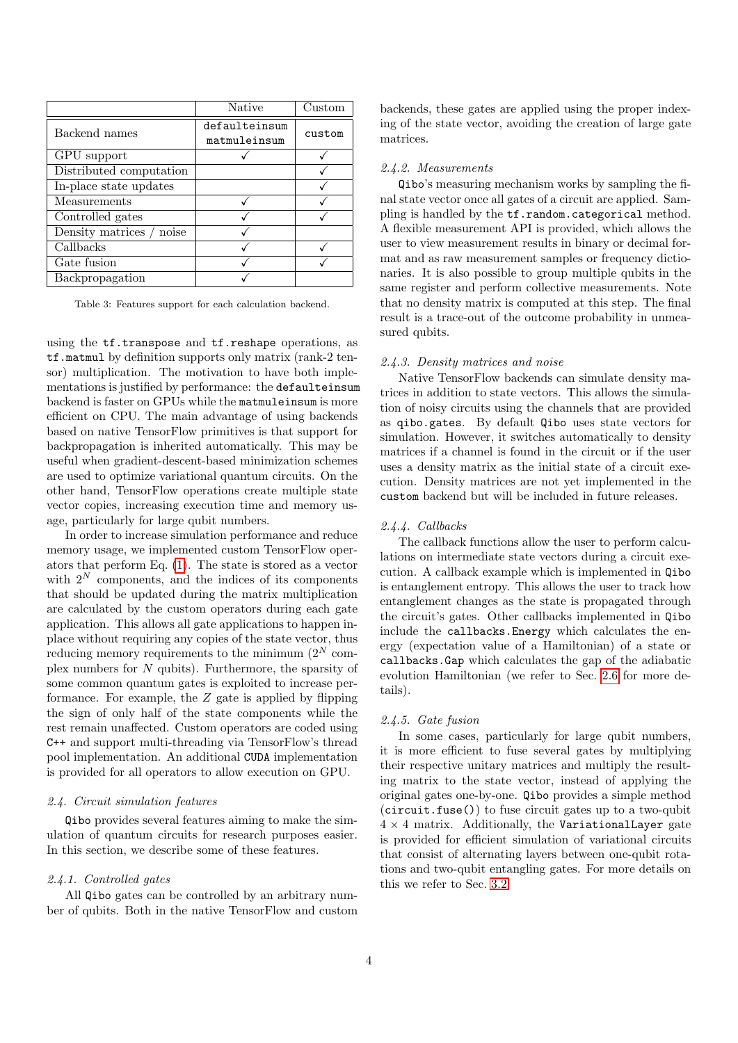|                          | <b>Native</b>                 | Custom |
|--------------------------|-------------------------------|--------|
| Backend names            | defaulteinsum<br>matmuleinsum | custom |
| GPU support              |                               |        |
| Distributed computation  |                               |        |
| In-place state updates   |                               |        |
| Measurements             |                               |        |
| Controlled gates         |                               |        |
| Density matrices / noise |                               |        |
| Callbacks                |                               |        |
| Gate fusion              |                               |        |
| Backpropagation          |                               |        |

Table 3: Features support for each calculation backend.

using the  $tf.transpose$  and  $tf.read$ . reshape operations, as tf.matmul by definition supports only matrix (rank-2 tensor) multiplication. The motivation to have both implementations is justified by performance: the defaulteinsum backend is faster on GPUs while the matmuleinsum is more efficient on CPU. The main advantage of using backends based on native TensorFlow primitives is that support for backpropagation is inherited automatically. This may be useful when gradient-descent-based minimization schemes are used to optimize variational quantum circuits. On the other hand, TensorFlow operations create multiple state vector copies, increasing execution time and memory usage, particularly for large qubit numbers.

In order to increase simulation performance and reduce memory usage, we implemented custom TensorFlow operators that perform Eq. [\(1\)](#page-2-1). The state is stored as a vector with  $2^N$  components, and the indices of its components that should be updated during the matrix multiplication are calculated by the custom operators during each gate application. This allows all gate applications to happen inplace without requiring any copies of the state vector, thus reducing memory requirements to the minimum  $(2^N \text{ com-}$ plex numbers for N qubits). Furthermore, the sparsity of some common quantum gates is exploited to increase performance. For example, the  $Z$  gate is applied by flipping the sign of only half of the state components while the rest remain unaffected. Custom operators are coded using C++ and support multi-threading via TensorFlow's thread pool implementation. An additional CUDA implementation is provided for all operators to allow execution on GPU.

# <span id="page-3-1"></span>2.4. Circuit simulation features

Qibo provides several features aiming to make the simulation of quantum circuits for research purposes easier. In this section, we describe some of these features.

### 2.4.1. Controlled gates

All Qibo gates can be controlled by an arbitrary number of qubits. Both in the native TensorFlow and custom

backends, these gates are applied using the proper indexing of the state vector, avoiding the creation of large gate matrices.

#### 2.4.2. Measurements

<span id="page-3-0"></span>Qibo's measuring mechanism works by sampling the final state vector once all gates of a circuit are applied. Sampling is handled by the tf.random.categorical method. A flexible measurement API is provided, which allows the user to view measurement results in binary or decimal format and as raw measurement samples or frequency dictionaries. It is also possible to group multiple qubits in the same register and perform collective measurements. Note that no density matrix is computed at this step. The final result is a trace-out of the outcome probability in unmeasured qubits.

### 2.4.3. Density matrices and noise

Native TensorFlow backends can simulate density matrices in addition to state vectors. This allows the simulation of noisy circuits using the channels that are provided as qibo.gates. By default Qibo uses state vectors for simulation. However, it switches automatically to density matrices if a channel is found in the circuit or if the user uses a density matrix as the initial state of a circuit execution. Density matrices are not yet implemented in the custom backend but will be included in future releases.

#### 2.4.4. Callbacks

The callback functions allow the user to perform calculations on intermediate state vectors during a circuit execution. A callback example which is implemented in Qibo is entanglement entropy. This allows the user to track how entanglement changes as the state is propagated through the circuit's gates. Other callbacks implemented in Qibo include the callbacks.Energy which calculates the energy (expectation value of a Hamiltonian) of a state or callbacks.Gap which calculates the gap of the adiabatic evolution Hamiltonian (we refer to Sec. [2.6](#page-4-0) for more details).

#### 2.4.5. Gate fusion

In some cases, particularly for large qubit numbers, it is more efficient to fuse several gates by multiplying their respective unitary matrices and multiply the resulting matrix to the state vector, instead of applying the original gates one-by-one. Qibo provides a simple method  $(circuit.fuse() )$  to fuse circuit gates up to a two-qubit  $4 \times 4$  matrix. Additionally, the VariationalLayer gate is provided for efficient simulation of variational circuits that consist of alternating layers between one-qubit rotations and two-qubit entangling gates. For more details on this we refer to Sec. [3.2.](#page-6-0)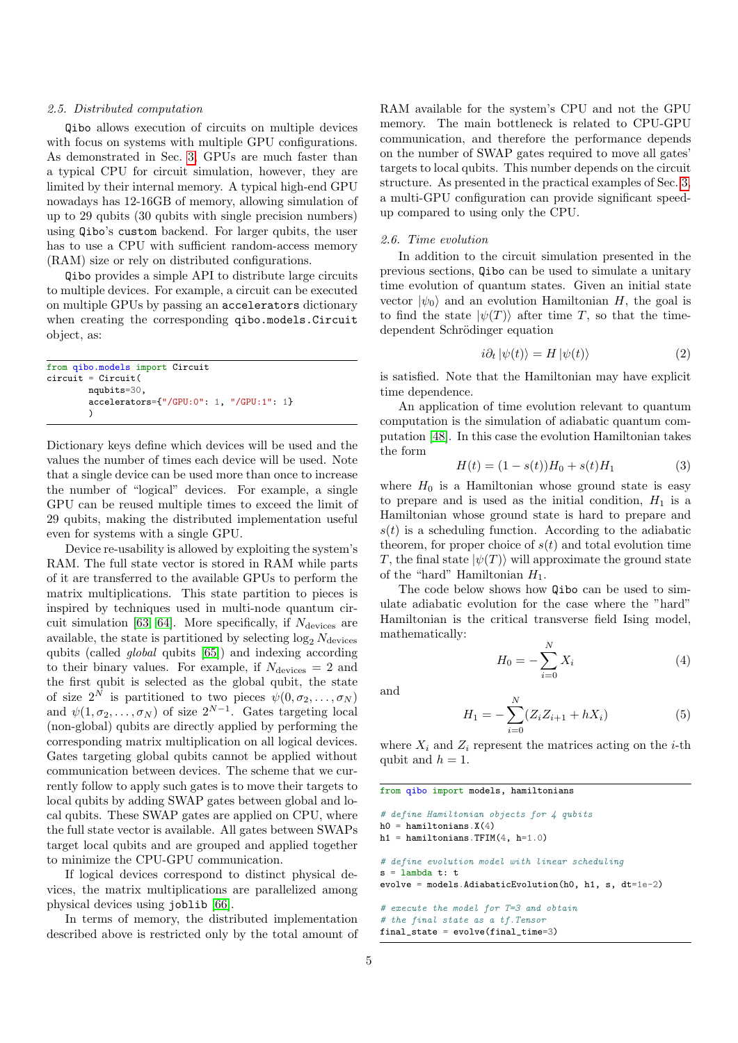#### <span id="page-4-1"></span>2.5. Distributed computation

Qibo allows execution of circuits on multiple devices with focus on systems with multiple GPU configurations. As demonstrated in Sec. [3,](#page-5-0) GPUs are much faster than a typical CPU for circuit simulation, however, they are limited by their internal memory. A typical high-end GPU nowadays has 12-16GB of memory, allowing simulation of up to 29 qubits (30 qubits with single precision numbers) using Qibo's custom backend. For larger qubits, the user has to use a CPU with sufficient random-access memory (RAM) size or rely on distributed configurations.

Qibo provides a simple API to distribute large circuits to multiple devices. For example, a circuit can be executed on multiple GPUs by passing an accelerators dictionary when creating the corresponding qibo.models.Circuit object, as:

```
from qibo.models import Circuit
circuit = Circuit(nqubits=30,
        accelerators={"/GPU:0": 1, "/GPU:1": 1}
        )
```
Dictionary keys define which devices will be used and the values the number of times each device will be used. Note that a single device can be used more than once to increase the number of "logical" devices. For example, a single GPU can be reused multiple times to exceed the limit of 29 qubits, making the distributed implementation useful even for systems with a single GPU.

Device re-usability is allowed by exploiting the system's RAM. The full state vector is stored in RAM while parts of it are transferred to the available GPUs to perform the matrix multiplications. This state partition to pieces is inspired by techniques used in multi-node quantum cir-cuit simulation [\[63,](#page-14-17) [64\]](#page-14-18). More specifically, if  $N_{\text{devices}}$  are available, the state is partitioned by selecting  $\log_2 N_{\text{devices}}$ qubits (called global qubits [\[65\]](#page-14-19)) and indexing according to their binary values. For example, if  $N_{\text{devices}} = 2$  and the first qubit is selected as the global qubit, the state of size  $2^N$  is partitioned to two pieces  $\psi(0, \sigma_2, \ldots, \sigma_N)$ and  $\psi(1,\sigma_2,\ldots,\sigma_N)$  of size  $2^{N-1}$ . Gates targeting local (non-global) qubits are directly applied by performing the corresponding matrix multiplication on all logical devices. Gates targeting global qubits cannot be applied without communication between devices. The scheme that we currently follow to apply such gates is to move their targets to local qubits by adding SWAP gates between global and local qubits. These SWAP gates are applied on CPU, where the full state vector is available. All gates between SWAPs target local qubits and are grouped and applied together to minimize the CPU-GPU communication.

If logical devices correspond to distinct physical devices, the matrix multiplications are parallelized among physical devices using joblib [\[66\]](#page-14-20).

In terms of memory, the distributed implementation described above is restricted only by the total amount of

RAM available for the system's CPU and not the GPU memory. The main bottleneck is related to CPU-GPU communication, and therefore the performance depends on the number of SWAP gates required to move all gates' targets to local qubits. This number depends on the circuit structure. As presented in the practical examples of Sec. [3,](#page-5-0) a multi-GPU configuration can provide significant speedup compared to using only the CPU.

# <span id="page-4-0"></span>2.6. Time evolution

In addition to the circuit simulation presented in the previous sections, Qibo can be used to simulate a unitary time evolution of quantum states. Given an initial state vector  $|\psi_0\rangle$  and an evolution Hamiltonian H, the goal is to find the state  $|\psi(T)\rangle$  after time T, so that the timedependent Schrödinger equation

$$
i\partial_t |\psi(t)\rangle = H |\psi(t)\rangle \tag{2}
$$

is satisfied. Note that the Hamiltonian may have explicit time dependence.

An application of time evolution relevant to quantum computation is the simulation of adiabatic quantum computation [\[48\]](#page-14-3). In this case the evolution Hamiltonian takes the form

$$
H(t) = (1 - s(t))H_0 + s(t)H_1
$$
\n(3)

where  $H_0$  is a Hamiltonian whose ground state is easy to prepare and is used as the initial condition,  $H_1$  is a Hamiltonian whose ground state is hard to prepare and  $s(t)$  is a scheduling function. According to the adiabatic theorem, for proper choice of  $s(t)$  and total evolution time T, the final state  $|\psi(T)\rangle$  will approximate the ground state of the "hard" Hamiltonian  $H_1$ .

The code below shows how Qibo can be used to simulate adiabatic evolution for the case where the "hard" Hamiltonian is the critical transverse field Ising model, mathematically:

$$
H_0 = -\sum_{i=0}^{N} X_i
$$
 (4)

and

<span id="page-4-2"></span>
$$
H_1 = -\sum_{i=0}^{N} (Z_i Z_{i+1} + h X_i)
$$
 (5)

where  $X_i$  and  $Z_i$  represent the matrices acting on the *i*-th qubit and  $h = 1$ .

from qibo import models, hamiltonians

```
# define Hamiltonian objects for 4 qubits
h0 = hamiltonians. X(4)h1 = hamiltonians.TFIM(4, h=1.0)# define evolution model with linear scheduling
s =lambda t: t
evolve = models.AdiabaticEvolution(h0, h1, s, dt=1e-2)
# execute the model for T=3 and obtain
# the final state as a tf.Tensor
```

```
final_state = evolve(final_time=3)
```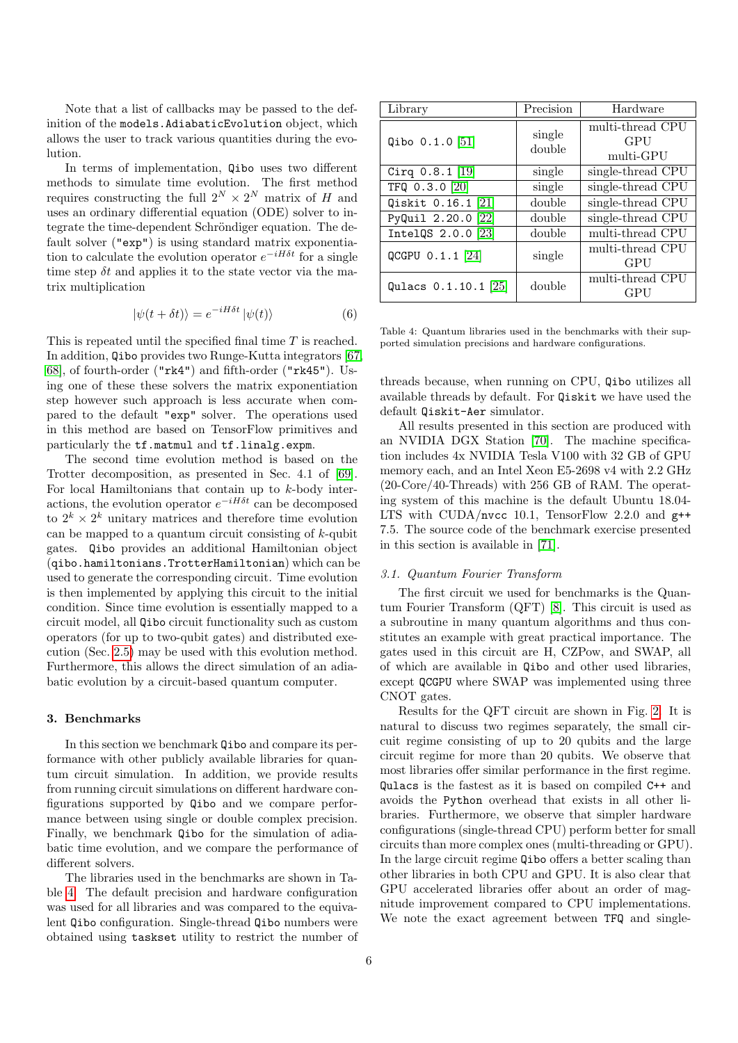Note that a list of callbacks may be passed to the definition of the models.AdiabaticEvolution object, which allows the user to track various quantities during the evolution.

In terms of implementation, Qibo uses two different methods to simulate time evolution. The first method requires constructing the full  $2^N \times 2^N$  matrix of H and uses an ordinary differential equation (ODE) solver to integrate the time-dependent Schröndiger equation. The default solver ("exp") is using standard matrix exponentiation to calculate the evolution operator  $e^{-iH\delta t}$  for a single time step  $\delta t$  and applies it to the state vector via the matrix multiplication

$$
|\psi(t + \delta t)\rangle = e^{-iH\delta t} |\psi(t)\rangle \tag{6}
$$

This is repeated until the specified final time T is reached. In addition, Qibo provides two Runge-Kutta integrators [\[67,](#page-14-21) [68\]](#page-14-22), of fourth-order ("rk4") and fifth-order ("rk45"). Using one of these these solvers the matrix exponentiation step however such approach is less accurate when compared to the default "exp" solver. The operations used in this method are based on TensorFlow primitives and particularly the tf.matmul and tf.linalg.expm.

The second time evolution method is based on the Trotter decomposition, as presented in Sec. 4.1 of [\[69\]](#page-14-23). For local Hamiltonians that contain up to k-body interactions, the evolution operator  $e^{-iH\delta t}$  can be decomposed to  $2^k \times 2^k$  unitary matrices and therefore time evolution can be mapped to a quantum circuit consisting of  $k$ -qubit gates. Qibo provides an additional Hamiltonian object (qibo.hamiltonians.TrotterHamiltonian) which can be used to generate the corresponding circuit. Time evolution is then implemented by applying this circuit to the initial condition. Since time evolution is essentially mapped to a circuit model, all Qibo circuit functionality such as custom operators (for up to two-qubit gates) and distributed execution (Sec. [2.5\)](#page-4-1) may be used with this evolution method. Furthermore, this allows the direct simulation of an adiabatic evolution by a circuit-based quantum computer.

#### <span id="page-5-0"></span>3. Benchmarks

In this section we benchmark Qibo and compare its performance with other publicly available libraries for quantum circuit simulation. In addition, we provide results from running circuit simulations on different hardware configurations supported by Qibo and we compare performance between using single or double complex precision. Finally, we benchmark Qibo for the simulation of adiabatic time evolution, and we compare the performance of different solvers.

The libraries used in the benchmarks are shown in Table [4.](#page-5-1) The default precision and hardware configuration was used for all libraries and was compared to the equivalent Qibo configuration. Single-thread Qibo numbers were obtained using taskset utility to restrict the number of

| Library                  | Precision        | Hardware                                    |
|--------------------------|------------------|---------------------------------------------|
| Qibo $0.1.0$ [51]        | single<br>double | multi-thread CPU<br><b>GPU</b><br>multi-GPU |
| Cirq $0.8.1$ [19]        | single           | single-thread CPU                           |
| TFQ 0.3.0 [20]           | single           | single-thread CPU                           |
| Qiskit 0.16.1 [21]       | double           | single-thread CPU                           |
| PyQuil 2.20.0 [22]       | double           | single-thread CPU                           |
| IntelQS $2.0.0$ $[23]$   | double           | multi-thread CPU                            |
| QCGPU $0.1.1$ [24]       | single           | multi-thread CPU<br>GPU                     |
| Qulacs $0.1.10.1$ $[25]$ | double           | multi-thread CPU<br>GPU                     |

<span id="page-5-1"></span>Table 4: Quantum libraries used in the benchmarks with their supported simulation precisions and hardware configurations.

threads because, when running on CPU, Qibo utilizes all available threads by default. For Qiskit we have used the default Qiskit-Aer simulator.

All results presented in this section are produced with an NVIDIA DGX Station [\[70\]](#page-14-24). The machine specification includes 4x NVIDIA Tesla V100 with 32 GB of GPU memory each, and an Intel Xeon E5-2698 v4 with 2.2 GHz (20-Core/40-Threads) with 256 GB of RAM. The operating system of this machine is the default Ubuntu 18.04- LTS with CUDA/nvcc 10.1, TensorFlow 2.2.0 and g++ 7.5. The source code of the benchmark exercise presented in this section is available in [\[71\]](#page-14-25).

### 3.1. Quantum Fourier Transform

The first circuit we used for benchmarks is the Quantum Fourier Transform (QFT) [\[8\]](#page-13-7). This circuit is used as a subroutine in many quantum algorithms and thus constitutes an example with great practical importance. The gates used in this circuit are H, CZPow, and SWAP, all of which are available in Qibo and other used libraries, except QCGPU where SWAP was implemented using three CNOT gates.

Results for the QFT circuit are shown in Fig. [2.](#page-6-1) It is natural to discuss two regimes separately, the small circuit regime consisting of up to 20 qubits and the large circuit regime for more than 20 qubits. We observe that most libraries offer similar performance in the first regime. Qulacs is the fastest as it is based on compiled C++ and avoids the Python overhead that exists in all other libraries. Furthermore, we observe that simpler hardware configurations (single-thread CPU) perform better for small circuits than more complex ones (multi-threading or GPU). In the large circuit regime Qibo offers a better scaling than other libraries in both CPU and GPU. It is also clear that GPU accelerated libraries offer about an order of magnitude improvement compared to CPU implementations. We note the exact agreement between TFQ and single-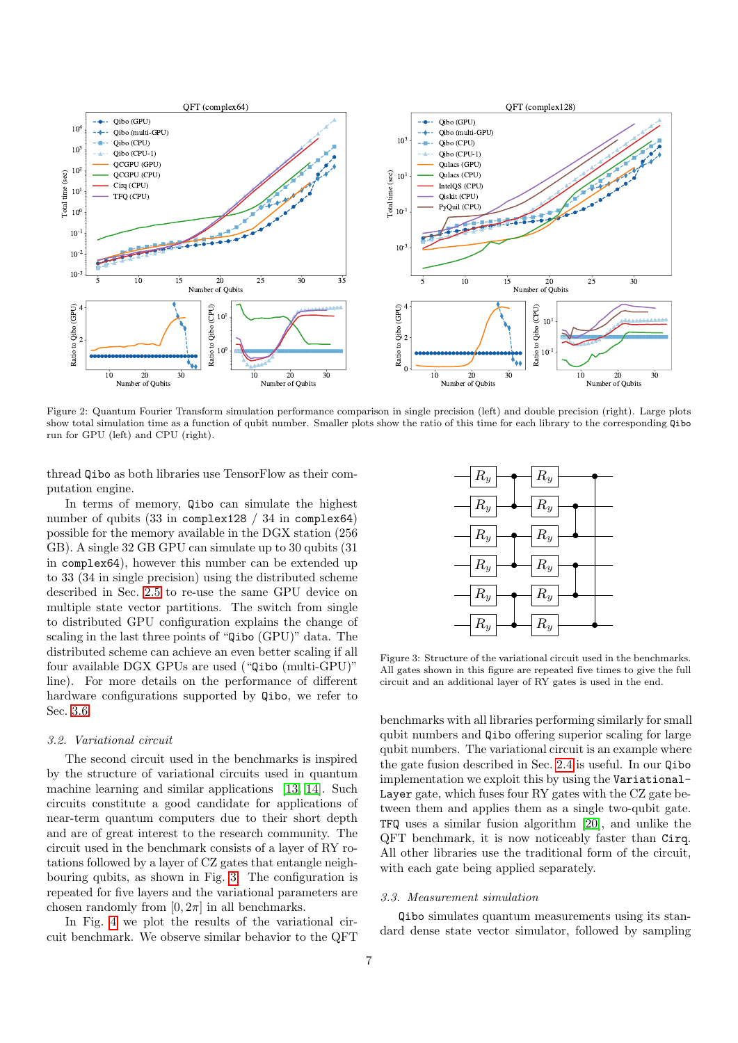

Figure 2: Quantum Fourier Transform simulation performance comparison in single precision (left) and double precision (right). Large plots<br>show total simulation time as a function of qubit number. Smaller plots show the ra show total simulation time as a function of qubit number. Smaller plots show the ratio of this time for each library to the corresponding Qibo run for GPU (left) and CPU (right).

thread Qibo as both libraries use TensorFlow as their computation engine.

In terms of memory, Qibo can simulate the highest number of qubits (33 in complex128 / 34 in complex64) possible for the memory available in the DGX station (256 GB). A single 32 GB GPU can simulate up to 30 qubits (31 in complex64), however this number can be extended up to 33 (34 in single precision) using the distributed scheme described in Sec. [2.5](#page-4-1) to re-use the same GPU device on multiple state vector partitions. The switch from single to distributed GPU configuration explains the change of scaling in the last three points of "Qibo (GPU)" data. The distributed scheme can achieve an even better scaling if all four available DGX GPUs are used ("Qibo (multi-GPU)" line). For more details on the performance of different hardware configurations supported by Qibo, we refer to Sec. [3.6.](#page-9-1)

### <span id="page-6-0"></span>3.2. Variational circuit

The second circuit used in the benchmarks is inspired by the structure of variational circuits used in quantum machine learning and similar applications [\[13,](#page-13-12) [14\]](#page-13-13). Such circuits constitute a good candidate for applications of near-term quantum computers due to their short depth and are of great interest to the research community. The circuit used in the benchmark consists of a layer of RY rotations followed by a layer of CZ gates that entangle neighbouring qubits, as shown in Fig. [3.](#page-6-2) The configuration is repeated for five layers and the variational parameters are chosen randomly from  $[0, 2\pi]$  in all benchmarks.

In Fig. [4](#page-7-0) we plot the results of the variational circuit benchmark. We observe similar behavior to the QFT

<span id="page-6-1"></span>

Figure 3: Structure of the variational circuit used in the benchmarks. All gates shown in this figure are repeated five times to give the full  $\alpha$  in this conditional large of  $\text{PV}$  gates is used in the end circuit and an additional layer of RY gates is used in the end.

<span id="page-6-2"></span>of neighboring  $\mathcal{C}$  neighboring  $\mathcal{C}$ 

benchmarks with all libraries performing similarly for small qubit numbers and  $\overline{\mathbf{Q}}$  is offering superior scaling for large quon numbers. The variational circuit is all example where<br>the gate fusion described in Sec. [2.4](#page-3-1) is useful. In our Qibo inc gate russon described in Sec.  $2.4$  is discuit. In our direction inplementation we exploit this by using the Variationalqubit numbers. The variational circuit is an example where Layer gate, which fuses four RY gates with the CZ gate between them and applies them as a single two-qubit gate. TFQ uses a similar fusion algorithm [\[20\]](#page-13-19), and unlike the QFT benchmark, it is now noticeably faster than Cirq. All other libraries use the traditional form of the circuit, with each gate being applied separately.

### 3.3. Measurement simulation

Qibo simulates quantum measurements using its standard dense state vector simulator, followed by sampling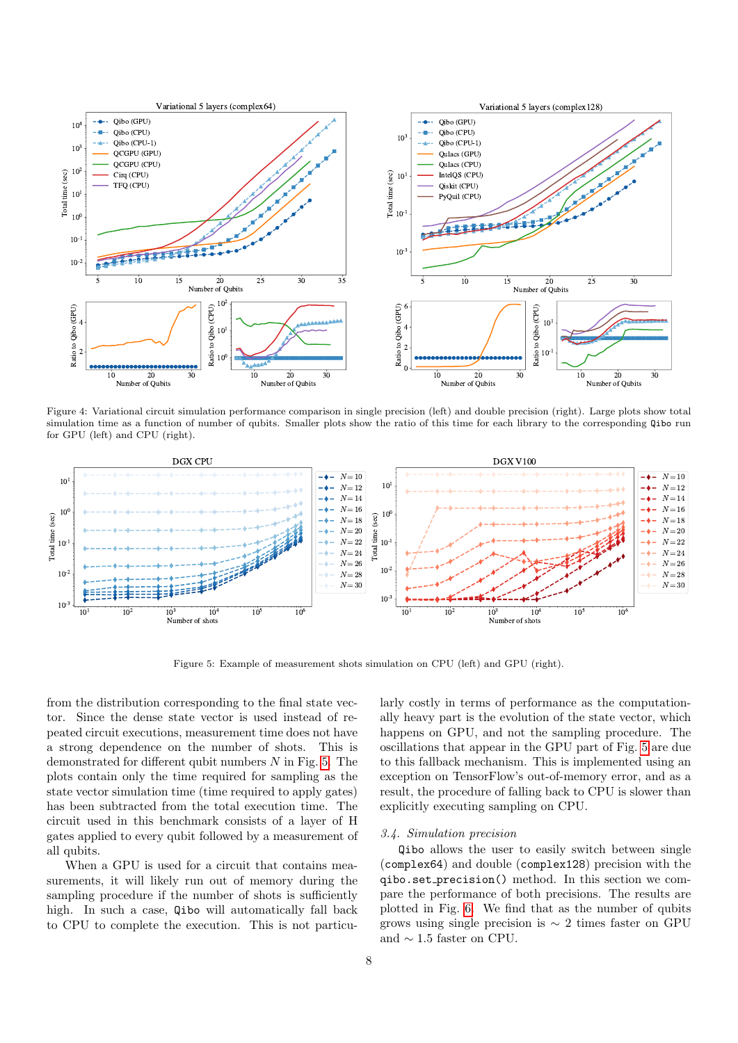

Figure 4: Variational circuit simulation performance comparison in single precision (left) and double precision (right). Large plots show total simulation time as a function of number of qubits. Smaller plots show the ratio of this time for each library to the corresponding Qibo run for GPU (left) and CPU (right).



Figure 5: Example of measurement shots simulation on CPU (left) and GPU (right).

from the distribution corresponding to the final state vector. Since the dense state vector is used instead of repeated circuit executions, measurement time does not have a strong dependence on the number of shots. This is demonstrated for different qubit numbers  $N$  in Fig. [5.](#page-7-1) The plots contain only the time required for sampling as the state vector simulation time (time required to apply gates) has been subtracted from the total execution time. The circuit used in this benchmark consists of a layer of H gates applied to every qubit followed by a measurement of all qubits.

When a GPU is used for a circuit that contains measurements, it will likely run out of memory during the sampling procedure if the number of shots is sufficiently high. In such a case, Qibo will automatically fall back to CPU to complete the execution. This is not particu<span id="page-7-1"></span><span id="page-7-0"></span>larly costly in terms of performance as the computationally heavy part is the evolution of the state vector, which happens on GPU, and not the sampling procedure. The oscillations that appear in the GPU part of Fig. [5](#page-7-1) are due to this fallback mechanism. This is implemented using an exception on TensorFlow's out-of-memory error, and as a result, the procedure of falling back to CPU is slower than explicitly executing sampling on CPU.

### 3.4. Simulation precision

Qibo allows the user to easily switch between single (complex64) and double (complex128) precision with the qibo.set precision() method. In this section we compare the performance of both precisions. The results are plotted in Fig. [6.](#page-8-0) We find that as the number of qubits grows using single precision is  $\sim$  2 times faster on GPU and  $\sim$  1.5 faster on CPU.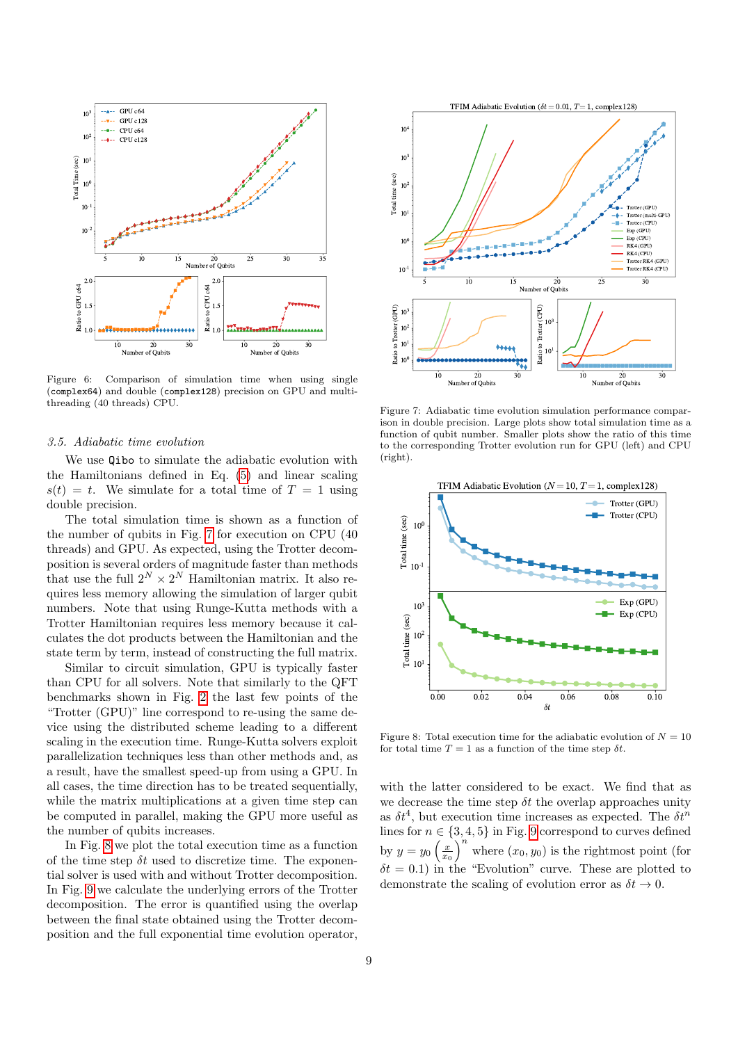

Figure 6: Comparison of simulation time when using single (complex64) and double (complex128) precision on GPU and multithreading (40 threads) CPU.

#### 3.5. Adiabatic time evolution

We use Qibo to simulate the adiabatic evolution with the Hamiltonians defined in Eq. [\(5\)](#page-4-2) and linear scaling  $s(t) = t$ . We simulate for a total time of  $T = 1$  using double precision.

The total simulation time is shown as a function of the number of qubits in Fig. [7](#page-8-1) for execution on CPU (40 threads) and GPU. As expected, using the Trotter decomposition is several orders of magnitude faster than methods that use the full  $2^N \times 2^N$  Hamiltonian matrix. It also requires less memory allowing the simulation of larger qubit numbers. Note that using Runge-Kutta methods with a Trotter Hamiltonian requires less memory because it calculates the dot products between the Hamiltonian and the state term by term, instead of constructing the full matrix.

Similar to circuit simulation, GPU is typically faster than CPU for all solvers. Note that similarly to the QFT benchmarks shown in Fig. [2](#page-6-1) the last few points of the "Trotter (GPU)" line correspond to re-using the same device using the distributed scheme leading to a different scaling in the execution time. Runge-Kutta solvers exploit parallelization techniques less than other methods and, as a result, have the smallest speed-up from using a GPU. In all cases, the time direction has to be treated sequentially, while the matrix multiplications at a given time step can be computed in parallel, making the GPU more useful as the number of qubits increases.

In Fig. [8](#page-8-2) we plot the total execution time as a function of the time step  $\delta t$  used to discretize time. The exponential solver is used with and without Trotter decomposition. In Fig. [9](#page-9-2) we calculate the underlying errors of the Trotter decomposition. The error is quantified using the overlap between the final state obtained using the Trotter decomposition and the full exponential time evolution operator,



<span id="page-8-1"></span><span id="page-8-0"></span>Figure 7: Adiabatic time evolution simulation performance comparison in double precision. Large plots show total simulation time as a function of qubit number. Smaller plots show the ratio of this time to the corresponding Trotter evolution run for GPU (left) and CPU (right).



<span id="page-8-2"></span>Figure 8: Total execution time for the adiabatic evolution of  $N = 10$ for total time  $T = 1$  as a function of the time step  $\delta t$ .

with the latter considered to be exact. We find that as we decrease the time step  $\delta t$  the overlap approaches unity as  $\delta t^4$ , but execution time increases as expected. The  $\delta t^n$ lines for  $n \in \{3, 4, 5\}$  in Fig. [9](#page-9-2) correspond to curves defined by  $y = y_0 \left(\frac{x}{x_0}\right)^n$  where  $(x_0, y_0)$  is the rightmost point (for  $\delta t = 0.1$ ) in the "Evolution" curve. These are plotted to demonstrate the scaling of evolution error as  $\delta t \to 0$ .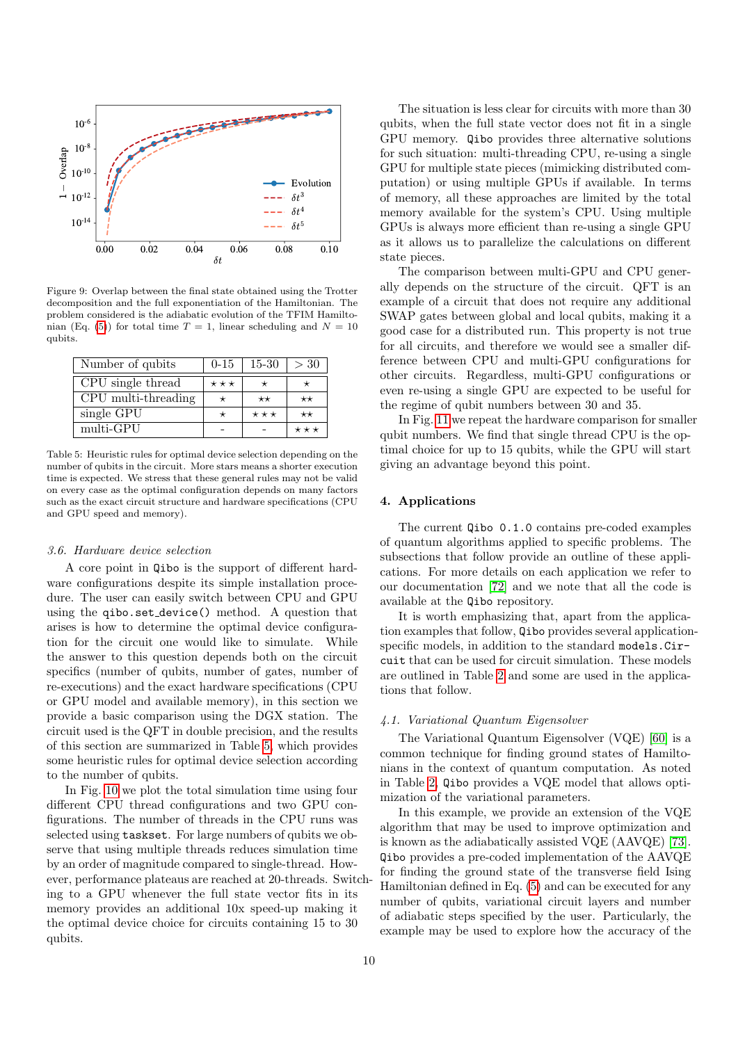

Figure 9: Overlap between the final state obtained using the Trotter decomposition and the full exponentiation of the Hamiltonian. The problem considered is the adiabatic evolution of the TFIM Hamilto-nian (Eq. [\(5\)](#page-4-2)) for total time  $T = 1$ , linear scheduling and  $N = 10$ qubits.

| Number of qubits    | $0 - 15$ | $15-30$           | >30             |
|---------------------|----------|-------------------|-----------------|
| CPU single thread   | $***$    |                   |                 |
| CPU multi-threading |          | $\star\star$      | $\star\star$    |
| single GPU          |          | $\star\star\star$ | $^{\star\star}$ |
| multi-GPU           |          |                   |                 |

Table 5: Heuristic rules for optimal device selection depending on the number of qubits in the circuit. More stars means a shorter execution time is expected. We stress that these general rules may not be valid on every case as the optimal configuration depends on many factors such as the exact circuit structure and hardware specifications (CPU and GPU speed and memory).

#### <span id="page-9-1"></span>3.6. Hardware device selection

A core point in Qibo is the support of different hardware configurations despite its simple installation procedure. The user can easily switch between CPU and GPU using the qibo.set device() method. A question that arises is how to determine the optimal device configuration for the circuit one would like to simulate. While the answer to this question depends both on the circuit specifics (number of qubits, number of gates, number of re-executions) and the exact hardware specifications (CPU or GPU model and available memory), in this section we provide a basic comparison using the DGX station. The circuit used is the QFT in double precision, and the results of this section are summarized in Table [5,](#page-9-3) which provides some heuristic rules for optimal device selection according to the number of qubits.

In Fig. [10](#page-10-0) we plot the total simulation time using four different CPU thread configurations and two GPU configurations. The number of threads in the CPU runs was selected using taskset. For large numbers of qubits we observe that using multiple threads reduces simulation time by an order of magnitude compared to single-thread. However, performance plateaus are reached at 20-threads. Switching to a GPU whenever the full state vector fits in its memory provides an additional 10x speed-up making it the optimal device choice for circuits containing 15 to 30 qubits.

The situation is less clear for circuits with more than 30 qubits, when the full state vector does not fit in a single GPU memory. Qibo provides three alternative solutions for such situation: multi-threading CPU, re-using a single GPU for multiple state pieces (mimicking distributed computation) or using multiple GPUs if available. In terms of memory, all these approaches are limited by the total memory available for the system's CPU. Using multiple GPUs is always more efficient than re-using a single GPU as it allows us to parallelize the calculations on different state pieces.

<span id="page-9-2"></span>The comparison between multi-GPU and CPU generally depends on the structure of the circuit. QFT is an example of a circuit that does not require any additional SWAP gates between global and local qubits, making it a good case for a distributed run. This property is not true for all circuits, and therefore we would see a smaller difference between CPU and multi-GPU configurations for other circuits. Regardless, multi-GPU configurations or even re-using a single GPU are expected to be useful for the regime of qubit numbers between 30 and 35.

<span id="page-9-3"></span>In Fig. [11](#page-10-1) we repeat the hardware comparison for smaller qubit numbers. We find that single thread CPU is the optimal choice for up to 15 qubits, while the GPU will start giving an advantage beyond this point.

### <span id="page-9-0"></span>4. Applications

The current Qibo 0.1.0 contains pre-coded examples of quantum algorithms applied to specific problems. The subsections that follow provide an outline of these applications. For more details on each application we refer to our documentation [\[72\]](#page-14-26) and we note that all the code is available at the Qibo repository.

It is worth emphasizing that, apart from the application examples that follow, Qibo provides several applicationspecific models, in addition to the standard models.Circuit that can be used for circuit simulation. These models are outlined in Table [2](#page-1-0) and some are used in the applications that follow.

# 4.1. Variational Quantum Eigensolver

The Variational Quantum Eigensolver (VQE) [\[60\]](#page-14-14) is a common technique for finding ground states of Hamiltonians in the context of quantum computation. As noted in Table [2,](#page-1-0) Qibo provides a VQE model that allows optimization of the variational parameters.

In this example, we provide an extension of the VQE algorithm that may be used to improve optimization and is known as the adiabatically assisted VQE (AAVQE) [\[73\]](#page-14-27). Qibo provides a pre-coded implementation of the AAVQE for finding the ground state of the transverse field Ising Hamiltonian defined in Eq. [\(5\)](#page-4-2) and can be executed for any number of qubits, variational circuit layers and number of adiabatic steps specified by the user. Particularly, the example may be used to explore how the accuracy of the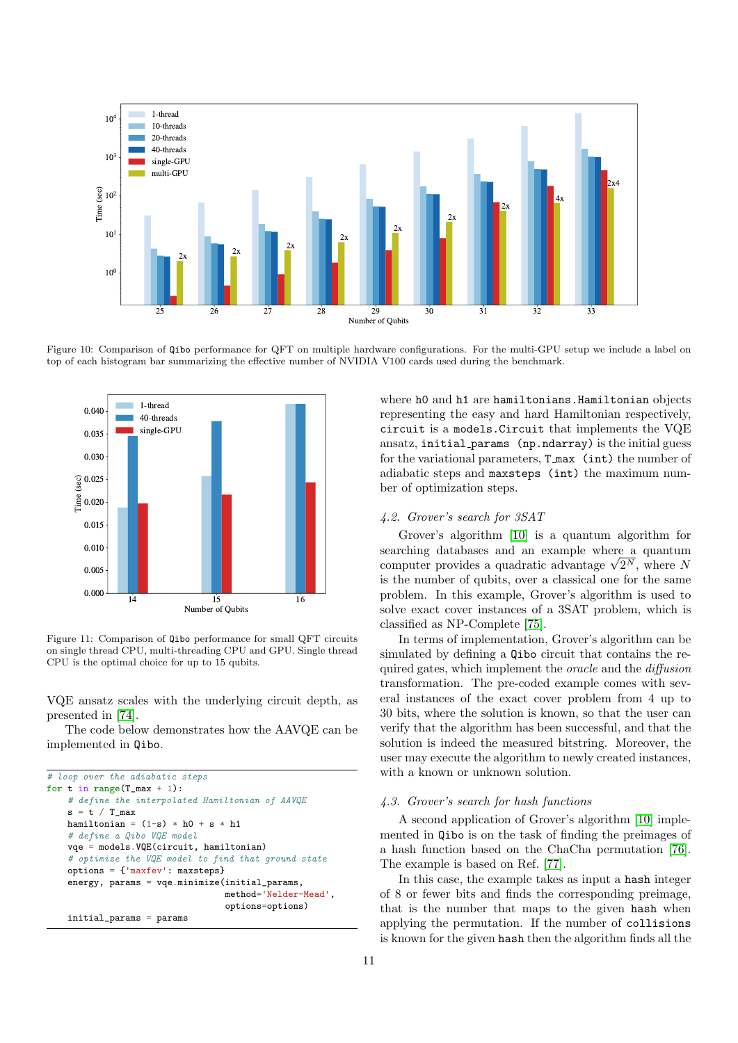

Figure 10: Comparison of Qibo performance for QFT on multiple hardware configurations. For the multi-GPU setup we include a label on top of each histogram bar summarizing the effective number of NVIDIA V100 cards used during the benchmark.



Figure 11: Comparison of Qibo performance for small QFT circuits on single thread CPU, multi-threading CPU and GPU. Single thread CPU is the optimal choice for up to 15 qubits.

VQE ansatz scales with the underlying circuit depth, as presented in [\[74\]](#page-14-28).

The code below demonstrates how the AAVQE can be implemented in Qibo.

```
# loop over the adiabatic steps
for t in range(T_max + 1):
    # define the interpolated Hamiltonian of AAVQE
   s = t / T_{max}hamiltonian = (1-s) * h0 + s * h1# define a Qibo VQE model
    vqe = models.VQE(circuit, hamiltonian)
    # optimize the VQE model to find that ground state
    options = {'maxfev': maxsteps}
    energy, params = vqe.minimize(initial_params,
                                  method='Nelder-Mead',
                                  options=options)
    initial_params = params
```
<span id="page-10-0"></span>where h0 and h1 are hamiltonians. Hamiltonian objects representing the easy and hard Hamiltonian respectively, circuit is a models.Circuit that implements the VQE ansatz, initial params (np.ndarray) is the initial guess for the variational parameters, T max (int) the number of adiabatic steps and maxsteps (int) the maximum number of optimization steps.

# <span id="page-10-2"></span>4.2. Grover's search for 3SAT

Grover's algorithm [\[10\]](#page-13-9) is a quantum algorithm for searching databases and an example where a quantum searching databases and an example where a quantum<br>computer provides a quadratic advantage  $\sqrt{2^N}$ , where N is the number of qubits, over a classical one for the same problem. In this example, Grover's algorithm is used to solve exact cover instances of a 3SAT problem, which is classified as NP-Complete [\[75\]](#page-14-29).

<span id="page-10-1"></span>In terms of implementation, Grover's algorithm can be simulated by defining a Qibo circuit that contains the required gates, which implement the oracle and the diffusion transformation. The pre-coded example comes with several instances of the exact cover problem from 4 up to 30 bits, where the solution is known, so that the user can verify that the algorithm has been successful, and that the solution is indeed the measured bitstring. Moreover, the user may execute the algorithm to newly created instances, with a known or unknown solution.

#### 4.3. Grover's search for hash functions

A second application of Grover's algorithm [\[10\]](#page-13-9) implemented in Qibo is on the task of finding the preimages of a hash function based on the ChaCha permutation [\[76\]](#page-14-30). The example is based on Ref. [\[77\]](#page-14-31).

In this case, the example takes as input a hash integer of 8 or fewer bits and finds the corresponding preimage, that is the number that maps to the given hash when applying the permutation. If the number of collisions is known for the given hash then the algorithm finds all the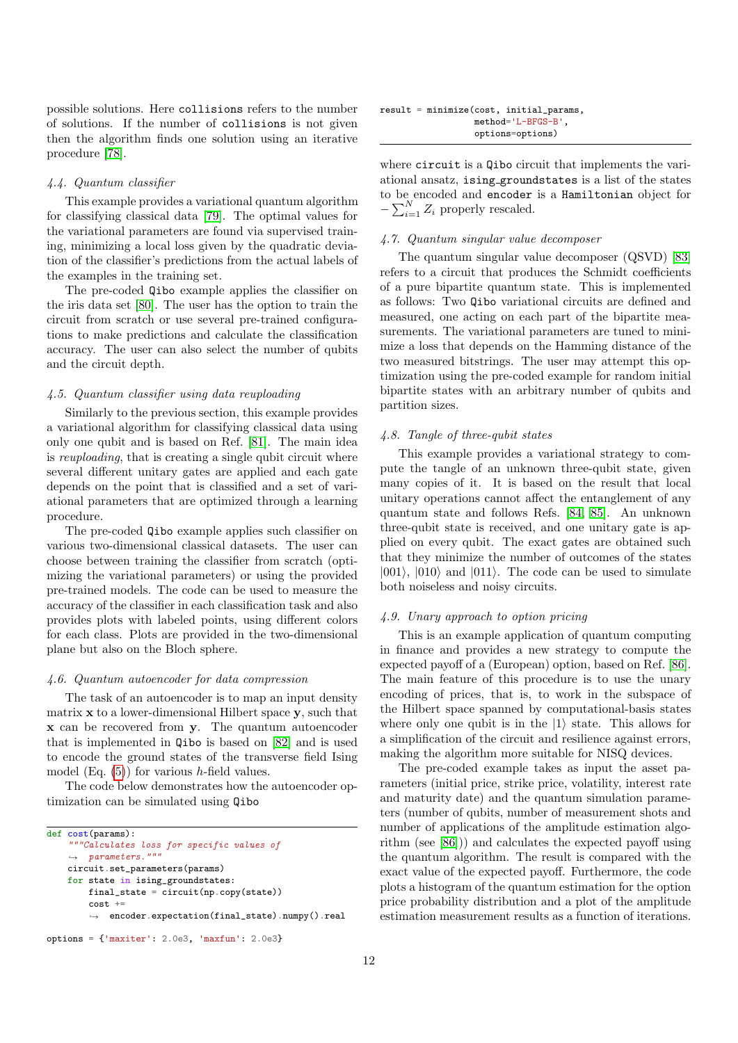possible solutions. Here collisions refers to the number of solutions. If the number of collisions is not given then the algorithm finds one solution using an iterative procedure [\[78\]](#page-14-32).

# 4.4. Quantum classifier

This example provides a variational quantum algorithm for classifying classical data [\[79\]](#page-14-33). The optimal values for the variational parameters are found via supervised training, minimizing a local loss given by the quadratic deviation of the classifier's predictions from the actual labels of the examples in the training set.

The pre-coded Qibo example applies the classifier on the iris data set [\[80\]](#page-14-34). The user has the option to train the circuit from scratch or use several pre-trained configurations to make predictions and calculate the classification accuracy. The user can also select the number of qubits and the circuit depth.

#### 4.5. Quantum classifier using data reuploading

Similarly to the previous section, this example provides a variational algorithm for classifying classical data using only one qubit and is based on Ref. [\[81\]](#page-14-35). The main idea is reuploading, that is creating a single qubit circuit where several different unitary gates are applied and each gate depends on the point that is classified and a set of variational parameters that are optimized through a learning procedure.

The pre-coded Qibo example applies such classifier on various two-dimensional classical datasets. The user can choose between training the classifier from scratch (optimizing the variational parameters) or using the provided pre-trained models. The code can be used to measure the accuracy of the classifier in each classification task and also provides plots with labeled points, using different colors for each class. Plots are provided in the two-dimensional plane but also on the Bloch sphere.

#### 4.6. Quantum autoencoder for data compression

The task of an autoencoder is to map an input density matrix  $x$  to a lower-dimensional Hilbert space  $y$ , such that x can be recovered from y. The quantum autoencoder that is implemented in Qibo is based on [\[82\]](#page-14-36) and is used to encode the ground states of the transverse field Ising model (Eq.  $(5)$ ) for various h-field values.

The code below demonstrates how the autoencoder optimization can be simulated using Qibo

```
def cost(params):
    """Calculates loss for specific values of
    \leftrightarrow parameters."""
    circuit.set_parameters(params)
    for state in ising_groundstates:
        final_state = circuit(np.copy(state))
         cost +
         \leftrightarrow encoder.expectation(final_state).numpy().real
```

```
options = {'maxiter': 2.0e3, 'maxfun': 2.0e3}
```

|  | result = minimize(cost, initial_params, |
|--|-----------------------------------------|
|  | $method='L-BFGS-B'.$                    |
|  | options=options)                        |

where circuit is a Qibo circuit that implements the variational ansatz, ising groundstates is a list of the states to be encoded and encoder is a Hamiltonian object for  $-\sum_{i=1}^{N} Z_i$  properly rescaled.

# 4.7. Quantum singular value decomposer

The quantum singular value decomposer (QSVD) [\[83\]](#page-14-37) refers to a circuit that produces the Schmidt coefficients of a pure bipartite quantum state. This is implemented as follows: Two Qibo variational circuits are defined and measured, one acting on each part of the bipartite measurements. The variational parameters are tuned to minimize a loss that depends on the Hamming distance of the two measured bitstrings. The user may attempt this optimization using the pre-coded example for random initial bipartite states with an arbitrary number of qubits and partition sizes.

#### 4.8. Tangle of three-qubit states

This example provides a variational strategy to compute the tangle of an unknown three-qubit state, given many copies of it. It is based on the result that local unitary operations cannot affect the entanglement of any quantum state and follows Refs. [\[84,](#page-14-38) [85\]](#page-14-39). An unknown three-qubit state is received, and one unitary gate is applied on every qubit. The exact gates are obtained such that they minimize the number of outcomes of the states  $|001\rangle$ ,  $|010\rangle$  and  $|011\rangle$ . The code can be used to simulate both noiseless and noisy circuits.

#### 4.9. Unary approach to option pricing

This is an example application of quantum computing in finance and provides a new strategy to compute the expected payoff of a (European) option, based on Ref. [\[86\]](#page-14-40). The main feature of this procedure is to use the unary encoding of prices, that is, to work in the subspace of the Hilbert space spanned by computational-basis states where only one qubit is in the  $|1\rangle$  state. This allows for a simplification of the circuit and resilience against errors, making the algorithm more suitable for NISQ devices.

The pre-coded example takes as input the asset parameters (initial price, strike price, volatility, interest rate and maturity date) and the quantum simulation parameters (number of qubits, number of measurement shots and number of applications of the amplitude estimation algorithm (see [\[86\]](#page-14-40))) and calculates the expected payoff using the quantum algorithm. The result is compared with the exact value of the expected payoff. Furthermore, the code plots a histogram of the quantum estimation for the option price probability distribution and a plot of the amplitude estimation measurement results as a function of iterations.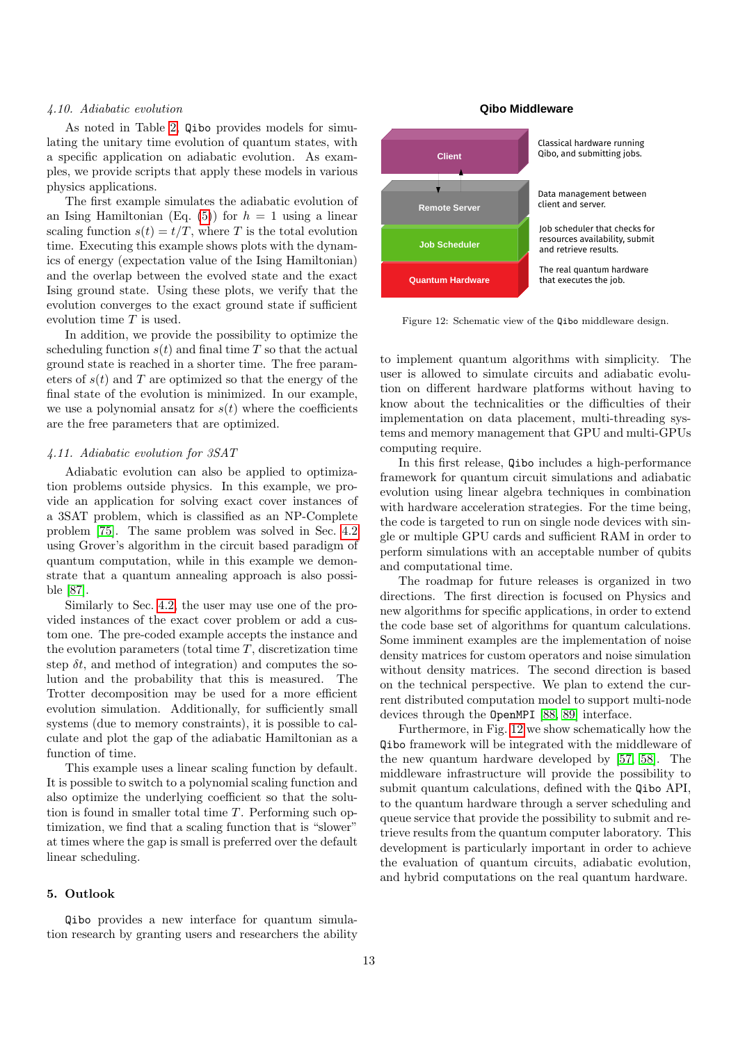#### 4.10. Adiabatic evolution

As noted in Table [2,](#page-1-0) Qibo provides models for simulating the unitary time evolution of quantum states, with a specific application on adiabatic evolution. As examples, we provide scripts that apply these models in various physics applications.

The first example simulates the adiabatic evolution of an Ising Hamiltonian (Eq.  $(5)$ ) for  $h = 1$  using a linear scaling function  $s(t) = t/T$ , where T is the total evolution time. Executing this example shows plots with the dynamics of energy (expectation value of the Ising Hamiltonian) and the overlap between the evolved state and the exact Ising ground state. Using these plots, we verify that the evolution converges to the exact ground state if sufficient evolution time T is used.

In addition, we provide the possibility to optimize the scheduling function  $s(t)$  and final time T so that the actual ground state is reached in a shorter time. The free parameters of  $s(t)$  and T are optimized so that the energy of the final state of the evolution is minimized. In our example, we use a polynomial ansatz for  $s(t)$  where the coefficients are the free parameters that are optimized.

### 4.11. Adiabatic evolution for 3SAT

Adiabatic evolution can also be applied to optimization problems outside physics. In this example, we provide an application for solving exact cover instances of a 3SAT problem, which is classified as an NP-Complete problem [\[75\]](#page-14-29). The same problem was solved in Sec. [4.2](#page-10-2) using Grover's algorithm in the circuit based paradigm of quantum computation, while in this example we demonstrate that a quantum annealing approach is also possible [\[87\]](#page-14-41).

Similarly to Sec. [4.2,](#page-10-2) the user may use one of the provided instances of the exact cover problem or add a custom one. The pre-coded example accepts the instance and the evolution parameters (total time  $T$ , discretization time step  $\delta t$ , and method of integration) and computes the solution and the probability that this is measured. The Trotter decomposition may be used for a more efficient evolution simulation. Additionally, for sufficiently small systems (due to memory constraints), it is possible to calculate and plot the gap of the adiabatic Hamiltonian as a function of time.

This example uses a linear scaling function by default. It is possible to switch to a polynomial scaling function and also optimize the underlying coefficient so that the solution is found in smaller total time  $T$ . Performing such optimization, we find that a scaling function that is "slower" at times where the gap is small is preferred over the default linear scheduling.

# <span id="page-12-0"></span>5. Outlook

Qibo provides a new interface for quantum simulation research by granting users and researchers the ability



Figure 12: Schematic view of the Qibo middleware design.

to implement quantum algorithms with simplicity. The user is allowed to simulate circuits and adiabatic evolution on different hardware platforms without having to know about the technicalities or the difficulties of their implementation on data placement, multi-threading systems and memory management that GPU and multi-GPUs computing require.

In this first release, Qibo includes a high-performance framework for quantum circuit simulations and adiabatic evolution using linear algebra techniques in combination with hardware acceleration strategies. For the time being, the code is targeted to run on single node devices with single or multiple GPU cards and sufficient RAM in order to perform simulations with an acceptable number of qubits and computational time.

The roadmap for future releases is organized in two directions. The first direction is focused on Physics and new algorithms for specific applications, in order to extend the code base set of algorithms for quantum calculations. Some imminent examples are the implementation of noise density matrices for custom operators and noise simulation without density matrices. The second direction is based on the technical perspective. We plan to extend the current distributed computation model to support multi-node devices through the OpenMPI [\[88,](#page-14-42) [89\]](#page-14-43) interface.

Furthermore, in Fig. [12](#page-12-1) we show schematically how the Qibo framework will be integrated with the middleware of the new quantum hardware developed by [\[57,](#page-14-11) [58\]](#page-14-12). The middleware infrastructure will provide the possibility to submit quantum calculations, defined with the Qibo API, to the quantum hardware through a server scheduling and queue service that provide the possibility to submit and retrieve results from the quantum computer laboratory. This development is particularly important in order to achieve the evaluation of quantum circuits, adiabatic evolution, and hybrid computations on the real quantum hardware.

# <span id="page-12-1"></span>**Qibo Middleware**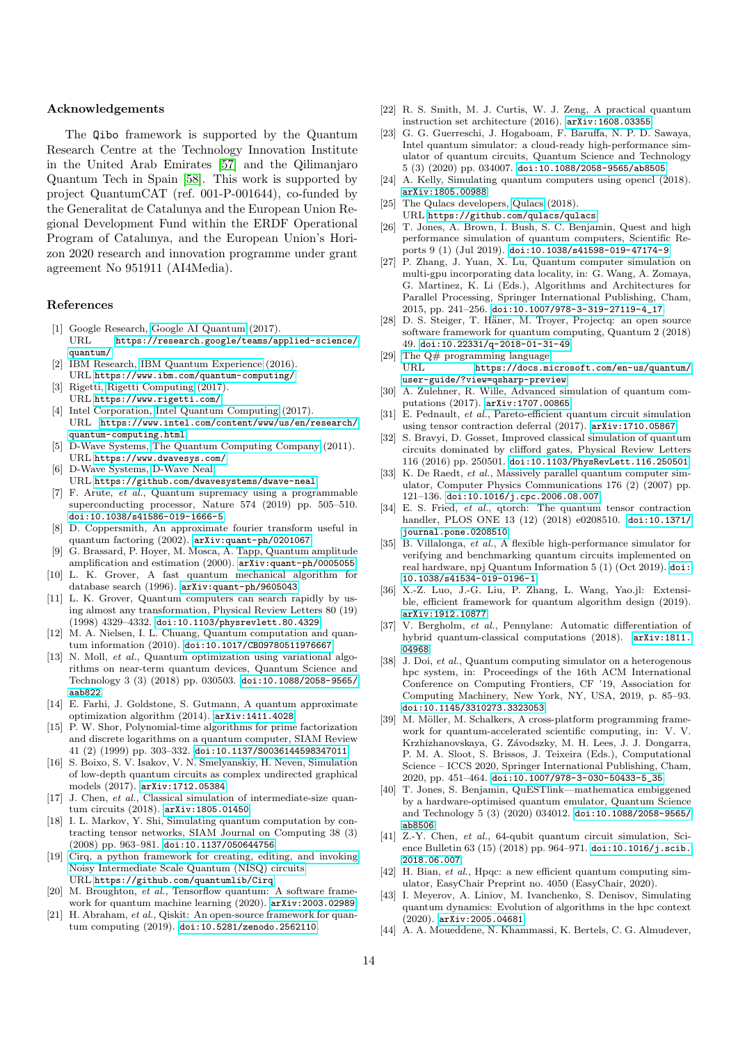#### Acknowledgements

The Qibo framework is supported by the Quantum Research Centre at the Technology Innovation Institute in the United Arab Emirates [\[57\]](#page-14-11) and the Qilimanjaro Quantum Tech in Spain [\[58\]](#page-14-12). This work is supported by project QuantumCAT (ref. 001-P-001644), co-funded by the Generalitat de Catalunya and the European Union Regional Development Fund within the ERDF Operational Program of Catalunya, and the European Union's Horizon 2020 research and innovation programme under grant agreement No 951911 (AI4Media).

### References

- <span id="page-13-0"></span>[1] Google Research, [Google AI Quantum](https://research.google/teams/applied-science/quantum/) (2017). URL [https://research.google/teams/applied-science/](https://research.google/teams/applied-science/quantum/)  $q$ uantum/
- <span id="page-13-1"></span>[2] IBM Research, [IBM Quantum Experience](https://www.ibm.com/quantum-computing/) (2016). URL <https://www.ibm.com/quantum-computing/>
- <span id="page-13-2"></span>[3] Rigetti, [Rigetti Computing](https://www.rigetti.com/) (2017).
- URL <https://www.rigetti.com/>
- <span id="page-13-3"></span>[4] Intel Corporation, [Intel Quantum Computing](https://www.intel.com/content/www/us/en/research/quantum-computing.html) (2017). URL [https://www.intel.com/content/www/us/en/research/](https://www.intel.com/content/www/us/en/research/quantum-computing.html) [quantum-computing.html](https://www.intel.com/content/www/us/en/research/quantum-computing.html)
- <span id="page-13-4"></span>[5] D-Wave Systems, [The Quantum Computing Company](https://www.dwavesys.com/) (2011). URL <https://www.dwavesys.com/>
- <span id="page-13-5"></span>[6] D-Wave Systems, [D-Wave Neal.](https://github.com/dwavesystems/dwave-neal)
- URL <https://github.com/dwavesystems/dwave-neal>
- <span id="page-13-6"></span>[7] F. Arute, et al., Quantum supremacy using a programmable superconducting processor, Nature 574 (2019) pp. 505–510. [doi:10.1038/s41586-019-1666-5](https://doi.org/10.1038/s41586-019-1666-5).
- <span id="page-13-7"></span>[8] D. Coppersmith, An approximate fourier transform useful in quantum factoring (2002). [arXiv:quant-ph/0201067](http://arxiv.org/abs/quant-ph/0201067).
- <span id="page-13-8"></span>[9] G. Brassard, P. Hoyer, M. Mosca, A. Tapp, Quantum amplitude amplification and estimation (2000). [arXiv:quant-ph/0005055](http://arxiv.org/abs/quant-ph/0005055).
- <span id="page-13-9"></span>[10] L. K. Grover, A fast quantum mechanical algorithm for database search (1996). [arXiv:quant-ph/9605043](http://arxiv.org/abs/quant-ph/9605043).
- <span id="page-13-10"></span>[11] L. K. Grover, Quantum computers can search rapidly by using almost any transformation, Physical Review Letters 80 (19) (1998) 4329–4332. [doi:10.1103/physrevlett.80.4329](https://doi.org/10.1103/physrevlett.80.4329).
- <span id="page-13-11"></span>[12] M. A. Nielsen, I. L. Chuang, Quantum computation and quantum information (2010). [doi:10.1017/CBO9780511976667](https://doi.org/10.1017/CBO9780511976667).
- <span id="page-13-12"></span>[13] N. Moll, et al., Quantum optimization using variational algorithms on near-term quantum devices, Quantum Science and Technology 3 (3) (2018) pp. 030503. [doi:10.1088/2058-9565/](https://doi.org/10.1088/2058-9565/aab822) [aab822](https://doi.org/10.1088/2058-9565/aab822).
- <span id="page-13-13"></span>[14] E. Farhi, J. Goldstone, S. Gutmann, A quantum approximate optimization algorithm (2014). [arXiv:1411.4028](http://arxiv.org/abs/1411.4028).
- <span id="page-13-14"></span>[15] P. W. Shor, Polynomial-time algorithms for prime factorization and discrete logarithms on a quantum computer, SIAM Review 41 (2) (1999) pp. 303–332. [doi:10.1137/S0036144598347011](https://doi.org/10.1137/S0036144598347011).
- <span id="page-13-15"></span>[16] S. Boixo, S. V. Isakov, V. N. Smelyanskiy, H. Neven, Simulation of low-depth quantum circuits as complex undirected graphical models (2017). [arXiv:1712.05384](http://arxiv.org/abs/1712.05384).
- <span id="page-13-16"></span>[17] J. Chen, et al., Classical simulation of intermediate-size quantum circuits (2018). [arXiv:1805.01450](http://arxiv.org/abs/1805.01450).
- <span id="page-13-17"></span>[18] I. L. Markov, Y. Shi, Simulating quantum computation by contracting tensor networks, SIAM Journal on Computing 38 (3) (2008) pp. 963–981. [doi:10.1137/050644756](https://doi.org/10.1137/050644756).
- <span id="page-13-18"></span>[19] [Cirq, a python framework for creating, editing, and invoking](https://github.com/quantumlib/Cirq) [Noisy Intermediate Scale Quantum \(NISQ\) circuits.](https://github.com/quantumlib/Cirq) URL <https://github.com/quantumlib/Cirq>
- <span id="page-13-19"></span>[20] M. Broughton, et al., Tensorflow quantum: A software framework for quantum machine learning (2020). [arXiv:2003.02989](http://arxiv.org/abs/2003.02989).
- <span id="page-13-20"></span>[21] H. Abraham, et al., Qiskit: An open-source framework for quantum computing (2019). [doi:10.5281/zenodo.2562110](https://doi.org/10.5281/zenodo.2562110).
- <span id="page-13-21"></span>[22] R. S. Smith, M. J. Curtis, W. J. Zeng, A practical quantum instruction set architecture (2016). [arXiv:1608.03355](http://arxiv.org/abs/1608.03355).
- <span id="page-13-22"></span>[23] G. G. Guerreschi, J. Hogaboam, F. Baruffa, N. P. D. Sawaya, Intel quantum simulator: a cloud-ready high-performance simulator of quantum circuits, Quantum Science and Technology 5 (3) (2020) pp. 034007. [doi:10.1088/2058-9565/ab8505](https://doi.org/10.1088/2058-9565/ab8505).
- <span id="page-13-23"></span>[24] A. Kelly, Simulating quantum computers using opencl (2018). [arXiv:1805.00988](http://arxiv.org/abs/1805.00988).
- <span id="page-13-24"></span>[25] The Qulacs developers, [Qulacs](https://github.com/qulacs/qulacs) (2018).
- URL <https://github.com/qulacs/qulacs>
- <span id="page-13-25"></span>[26] T. Jones, A. Brown, I. Bush, S. C. Benjamin, Quest and high performance simulation of quantum computers, Scientific Reports 9 (1) (Jul 2019). [doi:10.1038/s41598-019-47174-9](https://doi.org/10.1038/s41598-019-47174-9).
- [27] P. Zhang, J. Yuan, X. Lu, Quantum computer simulation on multi-gpu incorporating data locality, in: G. Wang, A. Zomaya, G. Martinez, K. Li (Eds.), Algorithms and Architectures for Parallel Processing, Springer International Publishing, Cham, 2015, pp. 241–256. [doi:10.1007/978-3-319-27119-4\\_17](https://doi.org/10.1007/978-3-319-27119-4_17).
- [28] D. S. Steiger, T. Häner, M. Troyer, Projectq: an open source software framework for quantum computing, Quantum 2 (2018) 49. [doi:10.22331/q-2018-01-31-49](https://doi.org/10.22331/q-2018-01-31-49).
- [29] [The Q# programming language.](https://docs.microsoft.com/en-us/quantum/user-guide/?view=qsharp-preview) URL [https://docs.microsoft.com/en-us/quantum/](https://docs.microsoft.com/en-us/quantum/user-guide/?view=qsharp-preview) [user-guide/?view=qsharp-preview](https://docs.microsoft.com/en-us/quantum/user-guide/?view=qsharp-preview)
- [30] A. Zulehner, R. Wille, Advanced simulation of quantum computations (2017). [arXiv:1707.00865](http://arxiv.org/abs/1707.00865).
- [31] E. Pednault, et al., Pareto-efficient quantum circuit simulation using tensor contraction deferral (2017). [arXiv:1710.05867](http://arxiv.org/abs/1710.05867).
- [32] S. Bravyi, D. Gosset, Improved classical simulation of quantum circuits dominated by clifford gates, Physical Review Letters 116 (2016) pp. 250501. [doi:10.1103/PhysRevLett.116.250501](https://doi.org/10.1103/PhysRevLett.116.250501).
- [33] K. De Raedt, et al., Massively parallel quantum computer simulator, Computer Physics Communications 176 (2) (2007) pp. 121–136. [doi:10.1016/j.cpc.2006.08.007](https://doi.org/10.1016/j.cpc.2006.08.007).
- [34] E. S. Fried, et al., qtorch: The quantum tensor contraction handler, PLOS ONE 13 (12) (2018) e0208510. [doi:10.1371/](https://doi.org/10.1371/journal.pone.0208510) [journal.pone.0208510](https://doi.org/10.1371/journal.pone.0208510).
- [35] B. Villalonga, et al., A flexible high-performance simulator for verifying and benchmarking quantum circuits implemented on real hardware, npj Quantum Information 5 (1) (Oct 2019). [doi:](https://doi.org/10.1038/s41534-019-0196-1) [10.1038/s41534-019-0196-1](https://doi.org/10.1038/s41534-019-0196-1).
- [36] X.-Z. Luo, J.-G. Liu, P. Zhang, L. Wang, Yao.jl: Extensible, efficient framework for quantum algorithm design (2019). [arXiv:1912.10877](http://arxiv.org/abs/1912.10877).
- [37] V. Bergholm, et al., Pennylane: Automatic differentiation of hybrid quantum-classical computations (2018). [arXiv:1811.](http://arxiv.org/abs/1811.04968) [04968](http://arxiv.org/abs/1811.04968).
- [38] J. Doi, et al., Quantum computing simulator on a heterogenous hpc system, in: Proceedings of the 16th ACM International Conference on Computing Frontiers, CF '19, Association for Computing Machinery, New York, NY, USA, 2019, p. 85–93. [doi:10.1145/3310273.3323053](https://doi.org/10.1145/3310273.3323053).
- [39] M. Möller, M. Schalkers, A cross-platform programming framework for quantum-accelerated scientific computing, in: V. V. Krzhizhanovskaya, G. Závodszky, M. H. Lees, J. J. Dongarra, P. M. A. Sloot, S. Brissos, J. Teixeira (Eds.), Computational Science – ICCS 2020, Springer International Publishing, Cham, 2020, pp. 451–464. [doi:10.1007/978-3-030-50433-5\\_35](https://doi.org/10.1007/978-3-030-50433-5_35).
- [40] T. Jones, S. Benjamin, QuESTlink—mathematica embiggened by a hardware-optimised quantum emulator, Quantum Science and Technology 5 (3) (2020) 034012. [doi:10.1088/2058-9565/](https://doi.org/10.1088/2058-9565/ab8506) [ab8506](https://doi.org/10.1088/2058-9565/ab8506).
- [41] Z.-Y. Chen, et al., 64-qubit quantum circuit simulation, Science Bulletin 63 (15) (2018) pp. 964-971. [doi:10.1016/j.scib.](https://doi.org/10.1016/j.scib.2018.06.007) [2018.06.007](https://doi.org/10.1016/j.scib.2018.06.007).
- [42] H. Bian, et al., Hpqc: a new efficient quantum computing simulator, EasyChair Preprint no. 4050 (EasyChair, 2020).
- [43] I. Meyerov, A. Liniov, M. Ivanchenko, S. Denisov, Simulating quantum dynamics: Evolution of algorithms in the hpc context (2020). [arXiv:2005.04681](http://arxiv.org/abs/2005.04681).
- [44] A. A. Moueddene, N. Khammassi, K. Bertels, C. G. Almudever,